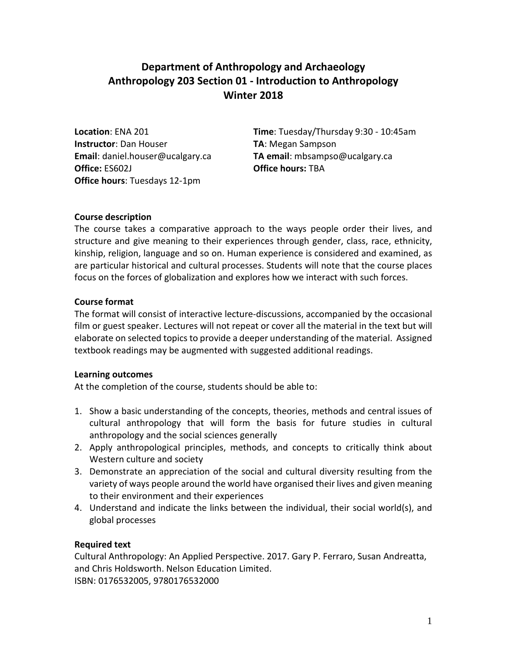# **Department of Anthropology and Archaeology Anthropology 203 Section 01 - Introduction to Anthropology Winter 2018**

**Instructor**: Dan Houser **TA**: Megan Sampson **Office:** ES602J **Office hours:** TBA **Office hours**: Tuesdays 12-1pm

**Location**: ENA 201 **Time**: Tuesday/Thursday 9:30 - 10:45am **Email**: daniel.houser@ucalgary.ca **TA email**: mbsampso@ucalgary.ca

## **Course description**

The course takes a comparative approach to the ways people order their lives, and structure and give meaning to their experiences through gender, class, race, ethnicity, kinship, religion, language and so on. Human experience is considered and examined, as are particular historical and cultural processes. Students will note that the course places focus on the forces of globalization and explores how we interact with such forces.

## **Course format**

The format will consist of interactive lecture-discussions, accompanied by the occasional film or guest speaker. Lectures will not repeat or cover all the material in the text but will elaborate on selected topics to provide a deeper understanding of the material. Assigned textbook readings may be augmented with suggested additional readings.

#### **Learning outcomes**

At the completion of the course, students should be able to:

- 1. Show a basic understanding of the concepts, theories, methods and central issues of cultural anthropology that will form the basis for future studies in cultural anthropology and the social sciences generally
- 2. Apply anthropological principles, methods, and concepts to critically think about Western culture and society
- 3. Demonstrate an appreciation of the social and cultural diversity resulting from the variety of ways people around the world have organised their lives and given meaning to their environment and their experiences
- 4. Understand and indicate the links between the individual, their social world(s), and global processes

## **Required text**

Cultural Anthropology: An Applied Perspective. 2017. Gary P. Ferraro, Susan Andreatta, and Chris Holdsworth. Nelson Education Limited. ISBN: 0176532005, 9780176532000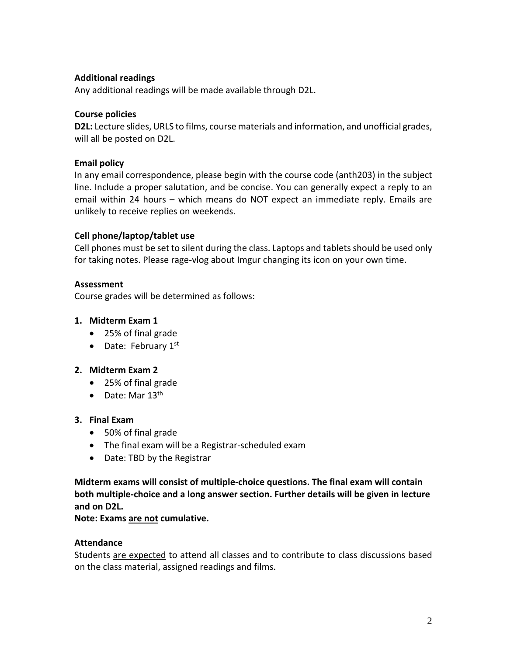## **Additional readings**

Any additional readings will be made available through D2L.

## **Course policies**

**D2L:** Lecture slides, URLS to films, course materials and information, and unofficial grades, will all be posted on D2L.

## **Email policy**

In any email correspondence, please begin with the course code (anth203) in the subject line. Include a proper salutation, and be concise. You can generally expect a reply to an email within 24 hours – which means do NOT expect an immediate reply. Emails are unlikely to receive replies on weekends.

## **Cell phone/laptop/tablet use**

Cell phones must be set to silent during the class. Laptops and tablets should be used only for taking notes. Please rage-vlog about Imgur changing its icon on your own time.

## **Assessment**

Course grades will be determined as follows:

## **1. Midterm Exam 1**

- 25% of final grade
- Date: February  $1<sup>st</sup>$

#### **2. Midterm Exam 2**

- 25% of final grade
- Date: Mar  $13<sup>th</sup>$

### **3. Final Exam**

- 50% of final grade
- The final exam will be a Registrar-scheduled exam
- Date: TBD by the Registrar

**Midterm exams will consist of multiple-choice questions. The final exam will contain both multiple-choice and a long answer section. Further details will be given in lecture and on D2L.**

#### **Note: Exams are not cumulative.**

#### **Attendance**

Students are expected to attend all classes and to contribute to class discussions based on the class material, assigned readings and films.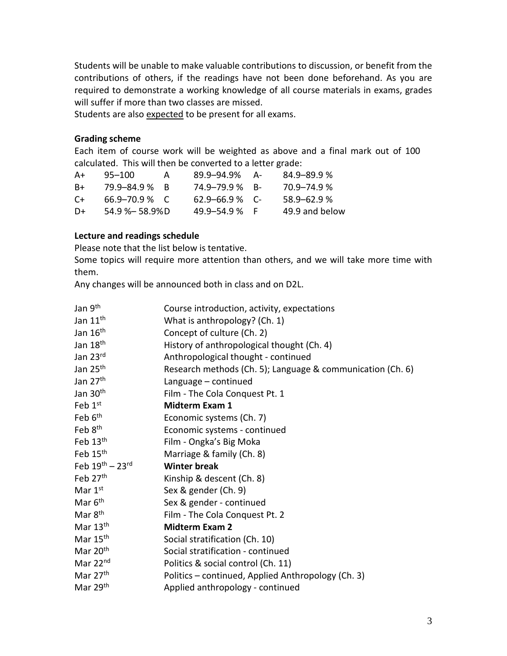Students will be unable to make valuable contributions to discussion, or benefit from the contributions of others, if the readings have not been done beforehand. As you are required to demonstrate a working knowledge of all course materials in exams, grades will suffer if more than two classes are missed.

Students are also expected to be present for all exams.

#### **Grading scheme**

Each item of course work will be weighted as above and a final mark out of 100 calculated. This will then be converted to a letter grade:

| A+   | 95–100               | A | 89.9-94.9%         | - A | $84.9 - 89.9 %$ |
|------|----------------------|---|--------------------|-----|-----------------|
| B+   | 79.9-84.9 % R        |   | 74.9-79.9% B-      |     | 70.9–74.9 %     |
| $C+$ | $66.9 - 70.9$ % C    |   | $62.9 - 66.9$ % C- |     | $58.9 - 62.9%$  |
| D+   | $54.9$ % $-$ 58.9% D |   | $49.9 - 54.9%$     |     | 49.9 and below  |

#### **Lecture and readings schedule**

Please note that the list below is tentative.

Some topics will require more attention than others, and we will take more time with them.

Any changes will be announced both in class and on D2L.

| Jan 9 <sup>th</sup>     | Course introduction, activity, expectations                |
|-------------------------|------------------------------------------------------------|
| Jan 11 <sup>th</sup>    | What is anthropology? (Ch. 1)                              |
| Jan 16 <sup>th</sup>    | Concept of culture (Ch. 2)                                 |
| Jan 18 <sup>th</sup>    | History of anthropological thought (Ch. 4)                 |
| Jan 23rd                | Anthropological thought - continued                        |
| Jan 25 <sup>th</sup>    | Research methods (Ch. 5); Language & communication (Ch. 6) |
| Jan 27 <sup>th</sup>    | Language - continued                                       |
| Jan 30 <sup>th</sup>    | Film - The Cola Conquest Pt. 1                             |
| Feb 1st                 | <b>Midterm Exam 1</b>                                      |
| Feb 6 <sup>th</sup>     | Economic systems (Ch. 7)                                   |
| Feb 8 <sup>th</sup>     | Economic systems - continued                               |
| Feb 13th                | Film - Ongka's Big Moka                                    |
| Feb 15th                | Marriage & family (Ch. 8)                                  |
| Feb $19^{th} - 23^{rd}$ | <b>Winter break</b>                                        |
| Feb 27th                | Kinship & descent (Ch. 8)                                  |
| Mar 1st                 | Sex & gender (Ch. 9)                                       |
| Mar 6 <sup>th</sup>     | Sex & gender - continued                                   |
| Mar 8 <sup>th</sup>     | Film - The Cola Conquest Pt. 2                             |
| Mar 13 <sup>th</sup>    | <b>Midterm Exam 2</b>                                      |
| Mar 15 <sup>th</sup>    | Social stratification (Ch. 10)                             |
| Mar 20 <sup>th</sup>    | Social stratification - continued                          |
| Mar 22nd                | Politics & social control (Ch. 11)                         |
| Mar $27th$              | Politics - continued, Applied Anthropology (Ch. 3)         |
| Mar 29th                | Applied anthropology - continued                           |
|                         |                                                            |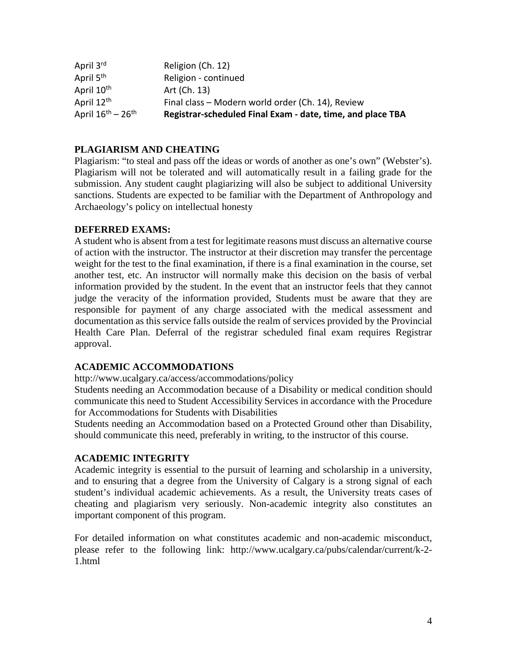| April 3rd                               | Religion (Ch. 12)                                          |
|-----------------------------------------|------------------------------------------------------------|
| April 5 <sup>th</sup>                   | Religion - continued                                       |
| April 10 <sup>th</sup>                  | Art (Ch. 13)                                               |
| April 12 <sup>th</sup>                  | Final class - Modern world order (Ch. 14), Review          |
| April $16^{\text{th}} - 26^{\text{th}}$ | Registrar-scheduled Final Exam - date, time, and place TBA |

## **PLAGIARISM AND CHEATING**

Plagiarism: "to steal and pass off the ideas or words of another as one's own" (Webster's). Plagiarism will not be tolerated and will automatically result in a failing grade for the submission. Any student caught plagiarizing will also be subject to additional University sanctions. Students are expected to be familiar with the Department of Anthropology and Archaeology's policy on intellectual honesty

#### **DEFERRED EXAMS:**

A student who is absent from a test for legitimate reasons must discuss an alternative course of action with the instructor. The instructor at their discretion may transfer the percentage weight for the test to the final examination, if there is a final examination in the course, set another test, etc. An instructor will normally make this decision on the basis of verbal information provided by the student. In the event that an instructor feels that they cannot judge the veracity of the information provided, Students must be aware that they are responsible for payment of any charge associated with the medical assessment and documentation as this service falls outside the realm of services provided by the Provincial Health Care Plan. Deferral of the registrar scheduled final exam requires Registrar approval.

## **ACADEMIC ACCOMMODATIONS**

http://www.ucalgary.ca/access/accommodations/policy

Students needing an Accommodation because of a Disability or medical condition should communicate this need to Student Accessibility Services in accordance with the Procedure for Accommodations for Students with Disabilities

Students needing an Accommodation based on a Protected Ground other than Disability, should communicate this need, preferably in writing, to the instructor of this course.

## **ACADEMIC INTEGRITY**

Academic integrity is essential to the pursuit of learning and scholarship in a university, and to ensuring that a degree from the University of Calgary is a strong signal of each student's individual academic achievements. As a result, the University treats cases of cheating and plagiarism very seriously. Non-academic integrity also constitutes an important component of this program.

For detailed information on what constitutes academic and non-academic misconduct, please refer to the following link: http://www.ucalgary.ca/pubs/calendar/current/k-2- 1.html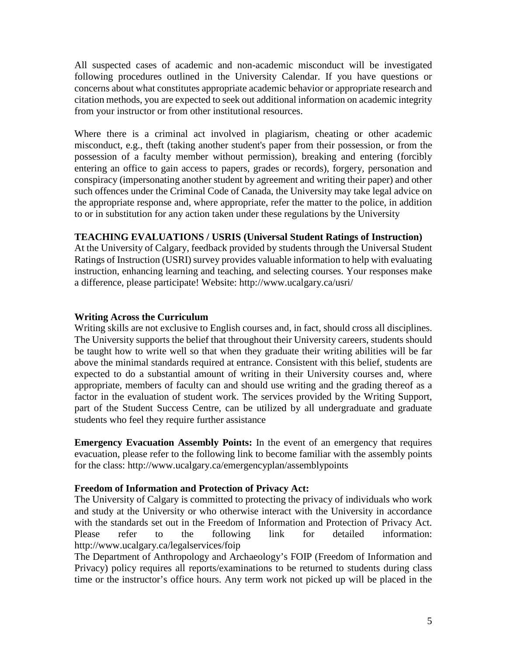All suspected cases of academic and non-academic misconduct will be investigated following procedures outlined in the University Calendar. If you have questions or concerns about what constitutes appropriate academic behavior or appropriate research and citation methods, you are expected to seek out additional information on academic integrity from your instructor or from other institutional resources.

Where there is a criminal act involved in plagiarism, cheating or other academic misconduct, e.g., theft (taking another student's paper from their possession, or from the possession of a faculty member without permission), breaking and entering (forcibly entering an office to gain access to papers, grades or records), forgery, personation and conspiracy (impersonating another student by agreement and writing their paper) and other such offences under the Criminal Code of Canada, the University may take legal advice on the appropriate response and, where appropriate, refer the matter to the police, in addition to or in substitution for any action taken under these regulations by the University

#### **TEACHING EVALUATIONS / USRIS (Universal Student Ratings of Instruction)**

At the University of Calgary, feedback provided by students through the Universal Student Ratings of Instruction (USRI) survey provides valuable information to help with evaluating instruction, enhancing learning and teaching, and selecting courses. Your responses make a difference, please participate! Website: http://www.ucalgary.ca/usri/

#### **Writing Across the Curriculum**

Writing skills are not exclusive to English courses and, in fact, should cross all disciplines. The University supports the belief that throughout their University careers, students should be taught how to write well so that when they graduate their writing abilities will be far above the minimal standards required at entrance. Consistent with this belief, students are expected to do a substantial amount of writing in their University courses and, where appropriate, members of faculty can and should use writing and the grading thereof as a factor in the evaluation of student work. The services provided by the Writing Support, part of the Student Success Centre, can be utilized by all undergraduate and graduate students who feel they require further assistance

**Emergency Evacuation Assembly Points:** In the event of an emergency that requires evacuation, please refer to the following link to become familiar with the assembly points for the class: http://www.ucalgary.ca/emergencyplan/assemblypoints

#### **Freedom of Information and Protection of Privacy Act:**

The University of Calgary is committed to protecting the privacy of individuals who work and study at the University or who otherwise interact with the University in accordance with the standards set out in the Freedom of Information and Protection of Privacy Act. Please refer to the following link for detailed information: http://www.ucalgary.ca/legalservices/foip

The Department of Anthropology and Archaeology's FOIP (Freedom of Information and Privacy) policy requires all reports/examinations to be returned to students during class time or the instructor's office hours. Any term work not picked up will be placed in the